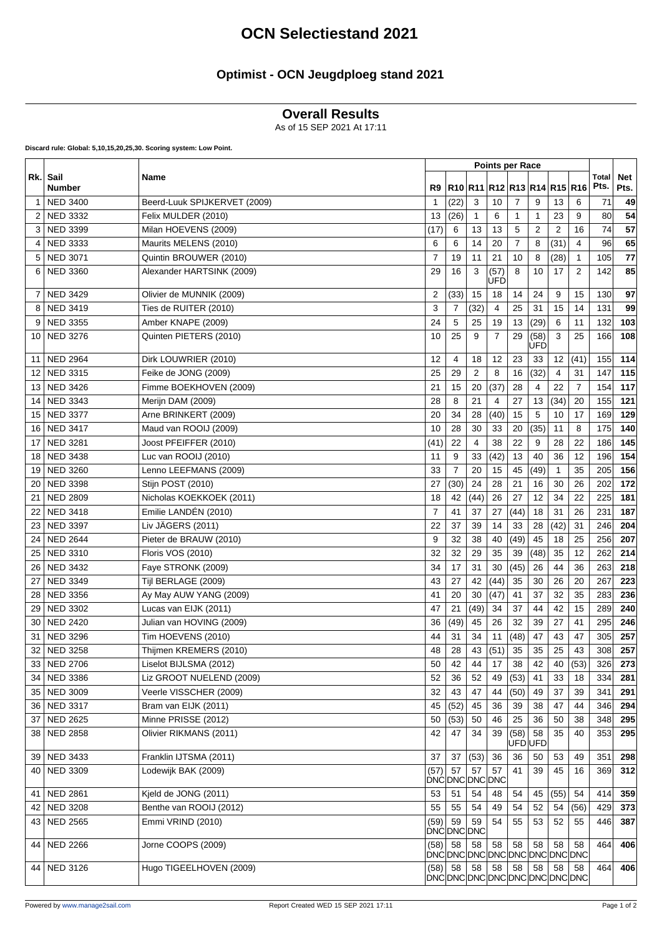# **OCN Selectiestand 2021**

### **Optimist - OCN Jeugdploeg stand 2021**

#### **Overall Results**

As of 15 SEP 2021 At 17:11

**Discard rule: Global: 5,10,15,20,25,30. Scoring system: Low Point.**

|      | Sail<br>Name<br><b>Number</b> |                              |                                   |                                   |              |             |                 |                |                |                      |                    |     |
|------|-------------------------------|------------------------------|-----------------------------------|-----------------------------------|--------------|-------------|-----------------|----------------|----------------|----------------------|--------------------|-----|
| Rk.  |                               | R9                           | R10  R11  R12  R13  R14  R15  R16 |                                   |              |             |                 |                |                | <b>Total</b><br>Pts. | <b>Net</b><br>Pts. |     |
| 1    | <b>NED 3400</b>               | Beerd-Luuk SPIJKERVET (2009) | 1                                 | (22)                              | 3            | 10          | 7               | 9              | 13             | 6                    | 71                 | 49  |
| 2    | <b>NED 3332</b>               | Felix MULDER (2010)          | 13                                | (26)                              | $\mathbf{1}$ | 6           | 1               | 1              | 23             | 9                    | 80                 | 54  |
| 3    | <b>NED 3399</b>               | Milan HOEVENS (2009)         | (17)                              | 6                                 | 13           | 13          | 5               | 2              | $\overline{2}$ | 16                   | 74                 | 57  |
| 4    | <b>NED 3333</b>               | Maurits MELENS (2010)        | 6                                 | 6                                 | 14           | 20          | $\overline{7}$  | 8              | (31)           | $\overline{4}$       | 96                 | 65  |
| 5    | <b>NED 3071</b>               | Quintin BROUWER (2010)       | $\overline{7}$                    | 19                                | 11           | 21          | 10              | 8              | (28)           | $\mathbf{1}$         | 105                | 77  |
| 6    | <b>NED 3360</b>               | Alexander HARTSINK (2009)    | 29                                | 16                                | 3            | (57)<br>UFD | 8               | 10             | 17             | $\overline{2}$       | 142                | 85  |
| 7    | <b>NED 3429</b>               | Olivier de MUNNIK (2009)     | 2                                 | (33)                              | 15           | 18          | 14              | 24             | 9              | 15                   | 130                | 97  |
| 8    | <b>NED 3419</b>               | Ties de RUITER (2010)        | 3                                 | 7                                 | (32)         | 4           | 25              | 31             | 15             | 14                   | 131                | 99  |
| 9    | <b>NED 3355</b>               | Amber KNAPE (2009)           | 24                                | 5                                 | 25           | 19          | 13              | (29)           | 6              | 11                   | 132                | 103 |
| 10   | <b>NED 3276</b>               | Quinten PIETERS (2010)       | 10                                | 25                                | 9            | 7           | 29              | (58)<br>UFD    | 3              | 25                   | 166                | 108 |
| 11   | <b>NED 2964</b>               | Dirk LOUWRIER (2010)         | 12                                | 4                                 | 18           | 12          | 23              | 33             | 12             | (41)                 | 155                | 114 |
| 12   | <b>NED 3315</b>               | Feike de JONG (2009)         | 25                                | 29                                | 2            | 8           | 16              | (32)           | 4              | 31                   | 147                | 115 |
| 13   | <b>NED 3426</b>               | Fimme BOEKHOVEN (2009)       | 21                                | 15                                | 20           | (37)        | 28              | $\overline{4}$ | 22             | $\overline{7}$       | 154                | 117 |
| 14   | <b>NED 3343</b>               | Merijn DAM (2009)            | 28                                | 8                                 | 21           | 4           | 27              | 13             | (34)           | 20                   | 155                | 121 |
| 15   | <b>NED 3377</b>               | Arne BRINKERT (2009)         | 20                                | 34                                | 28           | (40)        | 15              | 5              | 10             | 17                   | 169                | 129 |
| 16   | <b>NED 3417</b>               | Maud van ROOIJ (2009)        | 10                                | 28                                | 30           | 33          | 20              | (35)           | 11             | 8                    | 175                | 140 |
| 17   | <b>NED 3281</b>               | Joost PFEIFFER (2010)        | (41)                              | 22                                | 4            | 38          | 22              | 9              | 28             | 22                   | 186                | 145 |
| 18   | <b>NED 3438</b>               | Luc van ROOIJ (2010)         | 11                                | 9                                 | 33           | (42)        | 13              | 40             | 36             | 12                   | 196                | 154 |
| 19   | <b>NED 3260</b>               | Lenno LEEFMANS (2009)        | 33                                | 7                                 | 20           | 15          | 45              | (49)           | $\mathbf{1}$   | 35                   | 205                | 156 |
| 20   | <b>NED 3398</b>               | Stijn POST (2010)            | 27                                | (30)                              | 24           | 28          | 21              | 16             | 30             | 26                   | 202                | 172 |
| 21   | <b>NED 2809</b>               | Nicholas KOEKKOEK (2011)     | 18                                | 42                                | (44)         | 26          | 27              | 12             | 34             | 22                   | 225                | 181 |
| 22   | <b>NED 3418</b>               | Emilie LANDÉN (2010)         | $\overline{7}$                    | 41                                | 37           | 27          | (44)            | 18             | 31             | 26                   | 231                | 187 |
| 23   | <b>NED 3397</b>               | Liv JÄGERS (2011)            | 22                                | 37                                | 39           | 14          | 33              | 28             | (42)           | 31                   | 246                | 204 |
| 24   | <b>NED 2644</b>               | Pieter de BRAUW (2010)       | 9                                 | 32                                | 38           | 40          | (49)            | 45             | 18             | 25                   | 256                | 207 |
| 25   | <b>NED 3310</b>               | Floris VOS (2010)            | 32                                | 32                                | 29           | 35          | 39              | (48)           | 35             | 12                   | 262                | 214 |
| 26   | <b>NED 3432</b>               | Faye STRONK (2009)           | 34                                | 17                                | 31           | 30          | (45)            | 26             | 44             | 36                   | 263                | 218 |
| 27   | <b>NED 3349</b>               | Tijl BERLAGE (2009)          | 43                                | 27                                | 42           | (44)        | 35              | 30             | 26             | 20                   | 267                | 223 |
| 28   | <b>NED 3356</b>               | Ay May AUW YANG (2009)       | 41                                | 20                                | 30           | (47)        | 41              | 37             | 32             | 35                   | 283                | 236 |
| 29   | <b>NED 3302</b>               | Lucas van EIJK (2011)        | 47                                | 21                                | (49)         | 34          | 37              | 44             | 42             | 15                   | 289                | 240 |
| 30   | <b>NED 2420</b>               | Julian van HOVING (2009)     | 36                                | (49)                              | 45           | 26          | 32              | 39             | 27             | 41                   | 295                | 246 |
| 31   | <b>NED 3296</b>               | Tim HOEVENS (2010)           | 44                                | 31                                | 34           | 11          | (48)            | 47             | 43             | 47                   | 305                | 257 |
| 32   | <b>NED 3258</b>               | Thijmen KREMERS (2010)       | 48                                | 28                                | 43           | (51)        | 35              | 35             | 25             | 43                   | 308                | 257 |
|      | 33 NED 2706                   | Liselot BIJLSMA (2012)       | 50                                | 42                                | 44           | 17          | 38              | 42             | 40             | (53)                 | 326                | 273 |
| 34   | <b>NED 3386</b>               | Liz GROOT NUELEND (2009)     | 52                                | 36                                | 52           | 49          | (53)            | 41             | 33             | 18                   | 334                | 281 |
|      | 35   NED 3009                 | Veerle VISSCHER (2009)       | 32                                | 43                                | 47           | 44          | (50)            | 49             | 37             | 39                   | 341                | 291 |
|      | 36 NED 3317                   | Bram van EIJK (2011)         | 45                                | (52)                              | 45           | 36          | 39              | 38             | 47             | 44                   | 346                | 294 |
|      | 37 NED 2625                   | Minne PRISSE (2012)          | 50                                | (53)                              | 50           | 46          | 25              | 36             | 50             | 38                   | 348                | 295 |
| 38 I | NED 2858                      | Olivier RIKMANS (2011)       | 42                                | 47                                | 34           | 39          | (58)<br>UFD UFD | 58             | 35             | 40                   | 353                | 295 |
| 39   | <b>NED 3433</b>               | Franklin IJTSMA (2011)       | 37                                | 37                                | (53)         | 36          | 36              | 50             | 53             | 49                   | 351                | 298 |
| 40   | <b>NED 3309</b>               | Lodewijk BAK (2009)          | (57)                              | 57<br>DNCDNCDNCDNC                | 57           | 57          | 41              | 39             | 45             | 16                   | 369                | 312 |
|      | 41   NED 2861                 | Kjeld de JONG (2011)         | 53                                | 51                                | 54           | 48          | 54              | 45             | (55)           | 54                   | 414                | 359 |
| 42   | <b>NED 3208</b>               | Benthe van ROOIJ (2012)      | 55                                | 55                                | 54           | 49          | 54              | 52             | 54             | (56)                 | 429                | 373 |
| 43   | <b>NED 2565</b>               | Emmi VRIND (2010)            | (59)                              | 59<br>DNCDNCDNC                   | 59           | 54          | 55              | 53             | 52             | 55                   | 446                | 387 |
|      | 44   NED 2266                 | Jorne COOPS (2009)           | (58)                              | 58<br>DNCDNCDNCDNCDNCDNCDNCDNCDNC | 58           | 58          | 58              | 58             | 58             | 58                   | 464                | 406 |
|      | 44   NED 3126                 | Hugo TIGEELHOVEN (2009)      | (58)                              | 58<br>DNCDNCDNCDNCDNCDNCDNCDNC    | 58           | 58          | 58              | 58             | 58             | 58                   | 464                | 406 |